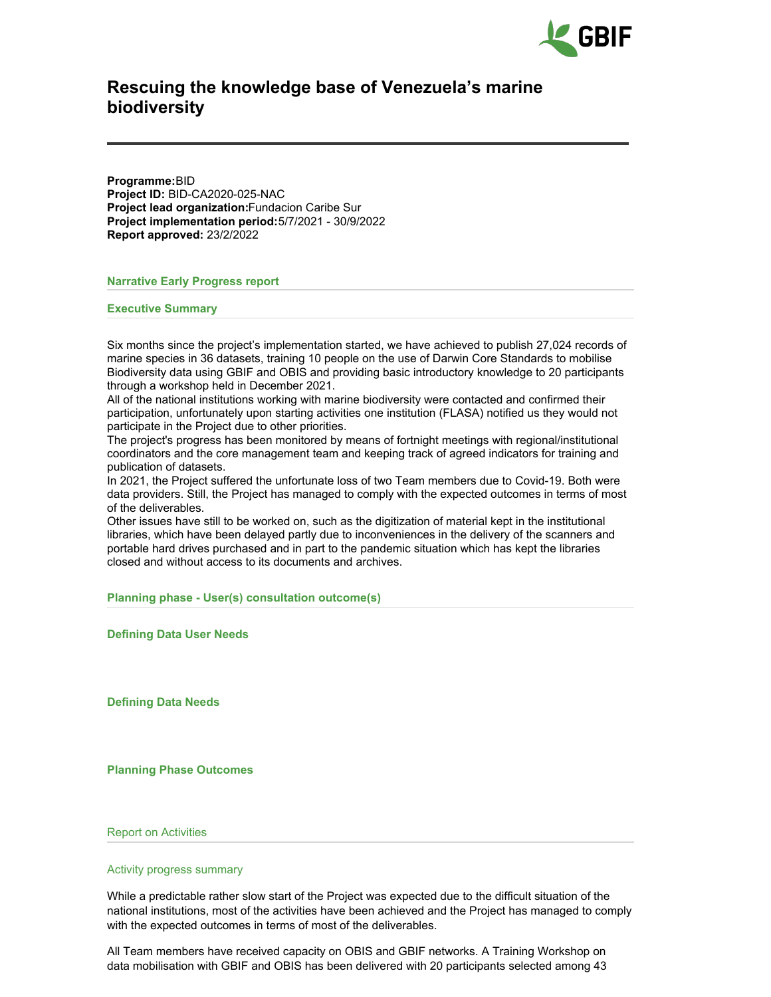

# **Rescuing the knowledge base of Venezuela's marine biodiversity**

**Programme:**BID **Project ID:** BID-CA2020-025-NAC **Project lead organization:**Fundacion Caribe Sur **Project implementation period:**5/7/2021 - 30/9/2022 **Report approved:** 23/2/2022

**Narrative Early Progress report**

**Executive Summary**

Six months since the project's implementation started, we have achieved to publish 27,024 records of marine species in 36 datasets, training 10 people on the use of Darwin Core Standards to mobilise Biodiversity data using GBIF and OBIS and providing basic introductory knowledge to 20 participants through a workshop held in December 2021.

All of the national institutions working with marine biodiversity were contacted and confirmed their participation, unfortunately upon starting activities one institution (FLASA) notified us they would not participate in the Project due to other priorities.

The project's progress has been monitored by means of fortnight meetings with regional/institutional coordinators and the core management team and keeping track of agreed indicators for training and publication of datasets.

In 2021, the Project suffered the unfortunate loss of two Team members due to Covid-19. Both were data providers. Still, the Project has managed to comply with the expected outcomes in terms of most of the deliverables.

Other issues have still to be worked on, such as the digitization of material kept in the institutional libraries, which have been delayed partly due to inconveniences in the delivery of the scanners and portable hard drives purchased and in part to the pandemic situation which has kept the libraries closed and without access to its documents and archives.

**Planning phase - User(s) consultation outcome(s)**

**Defining Data User Needs**

**Defining Data Needs**

**Planning Phase Outcomes**

Report on Activities

#### Activity progress summary

While a predictable rather slow start of the Project was expected due to the difficult situation of the national institutions, most of the activities have been achieved and the Project has managed to comply with the expected outcomes in terms of most of the deliverables.

All Team members have received capacity on OBIS and GBIF networks. A Training Workshop on data mobilisation with GBIF and OBIS has been delivered with 20 participants selected among 43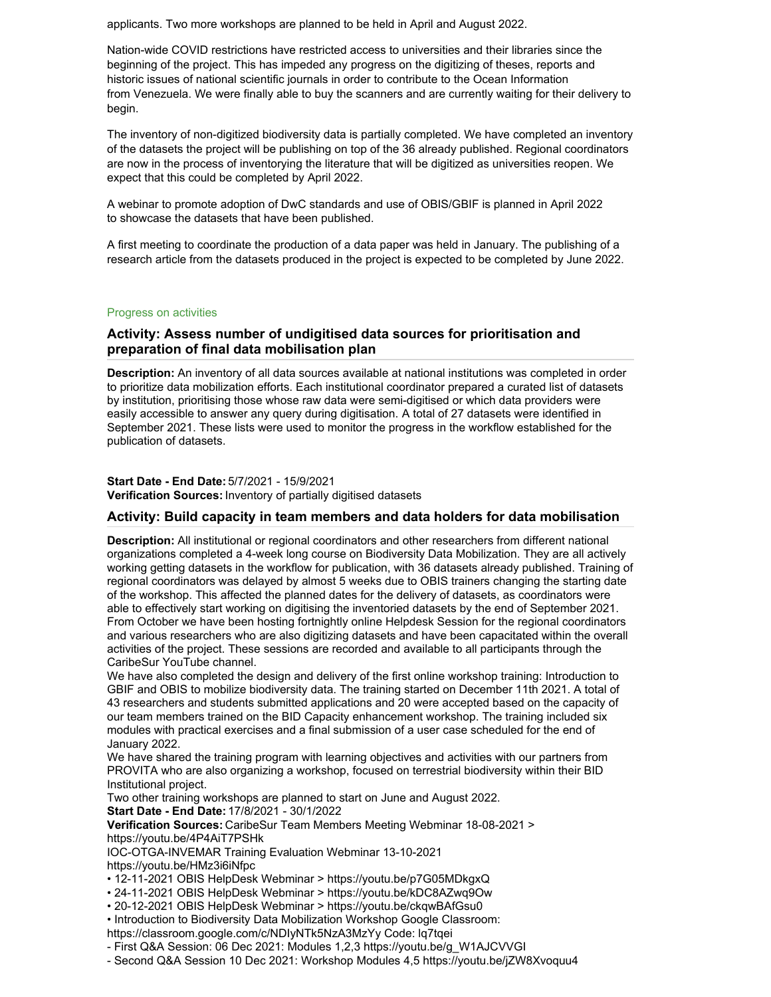applicants. Two more workshops are planned to be held in April and August 2022.

Nation-wide COVID restrictions have restricted access to universities and their libraries since the beginning of the project. This has impeded any progress on the digitizing of theses, reports and historic issues of national scientific journals in order to contribute to the Ocean Information from Venezuela. We were finally able to buy the scanners and are currently waiting for their delivery to begin.

The inventory of non-digitized biodiversity data is partially completed. We have completed an inventory of the datasets the project will be publishing on top of the 36 already published. Regional coordinators are now in the process of inventorying the literature that will be digitized as universities reopen. We expect that this could be completed by April 2022.

A webinar to promote adoption of DwC standards and use of OBIS/GBIF is planned in April 2022 to showcase the datasets that have been published.

A first meeting to coordinate the production of a data paper was held in January. The publishing of a research article from the datasets produced in the project is expected to be completed by June 2022.

#### Progress on activities

# **Activity: Assess number of undigitised data sources for prioritisation and preparation of final data mobilisation plan**

**Description:** An inventory of all data sources available at national institutions was completed in order to prioritize data mobilization efforts. Each institutional coordinator prepared a curated list of datasets by institution, prioritising those whose raw data were semi-digitised or which data providers were easily accessible to answer any query during digitisation. A total of 27 datasets were identified in September 2021. These lists were used to monitor the progress in the workflow established for the publication of datasets.

**Start Date - End Date:** 5/7/2021 - 15/9/2021 **Verification Sources:** Inventory of partially digitised datasets

#### **Activity: Build capacity in team members and data holders for data mobilisation**

**Description:** All institutional or regional coordinators and other researchers from different national organizations completed a 4-week long course on Biodiversity Data Mobilization. They are all actively working getting datasets in the workflow for publication, with 36 datasets already published. Training of regional coordinators was delayed by almost 5 weeks due to OBIS trainers changing the starting date of the workshop. This affected the planned dates for the delivery of datasets, as coordinators were able to effectively start working on digitising the inventoried datasets by the end of September 2021. From October we have been hosting fortnightly online Helpdesk Session for the regional coordinators and various researchers who are also digitizing datasets and have been capacitated within the overall activities of the project. These sessions are recorded and available to all participants through the CaribeSur YouTube channel.

We have also completed the design and delivery of the first online workshop training: Introduction to GBIF and OBIS to mobilize biodiversity data. The training started on December 11th 2021. A total of 43 researchers and students submitted applications and 20 were accepted based on the capacity of our team members trained on the BID Capacity enhancement workshop. The training included six modules with practical exercises and a final submission of a user case scheduled for the end of January 2022.

We have shared the training program with learning objectives and activities with our partners from PROVITA who are also organizing a workshop, focused on terrestrial biodiversity within their BID Institutional project.

Two other training workshops are planned to start on June and August 2022.

**Start Date - End Date:** 17/8/2021 - 30/1/2022

**Verification Sources:** CaribeSur Team Members Meeting Webminar 18-08-2021 > https://youtu.be/4P4AiT7PSHk

IOC-OTGA-INVEMAR Training Evaluation Webminar 13-10-2021 https://youtu.be/HMz3i6iNfpc

- 12-11-2021 OBIS HelpDesk Webminar > https://youtu.be/p7G05MDkgxQ
- 24-11-2021 OBIS HelpDesk Webminar > https://youtu.be/kDC8AZwq9Ow
- 20-12-2021 OBIS HelpDesk Webminar > https://youtu.be/ckqwBAfGsu0

• Introduction to Biodiversity Data Mobilization Workshop Google Classroom: https://classroom.google.com/c/NDIyNTk5NzA3MzYy Code: lq7tqei

- First Q&A Session: 06 Dec 2021: Modules 1,2,3 https://youtu.be/g\_W1AJCVVGI

- Second Q&A Session 10 Dec 2021: Workshop Modules 4,5 https://youtu.be/jZW8Xvoquu4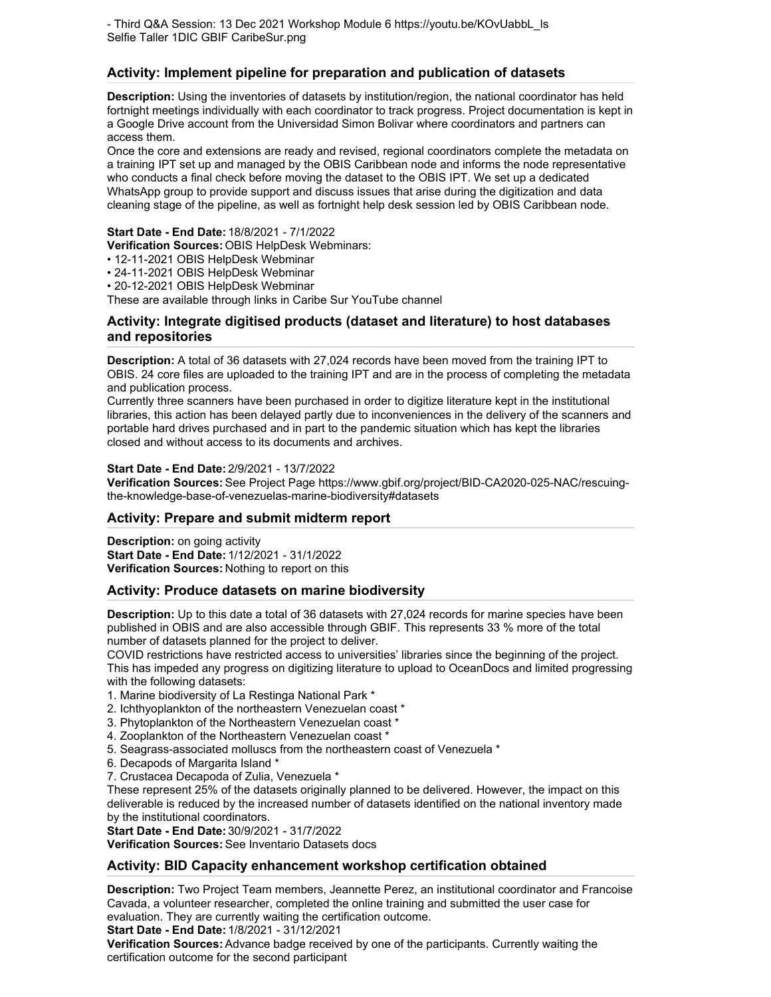- Third Q&A Session: 13 Dec 2021 Workshop Module 6 https://youtu.be/KOvUabbL\_ls Selfie Taller 1DIC GBIF CaribeSur.png

# **Activity: Implement pipeline for preparation and publication of datasets**

**Description:** Using the inventories of datasets by institution/region, the national coordinator has held fortnight meetings individually with each coordinator to track progress. Project documentation is kept in a Google Drive account from the Universidad Simon Bolivar where coordinators and partners can access them.

Once the core and extensions are ready and revised, regional coordinators complete the metadata on a training IPT set up and managed by the OBIS Caribbean node and informs the node representative who conducts a final check before moving the dataset to the OBIS IPT. We set up a dedicated WhatsApp group to provide support and discuss issues that arise during the digitization and data cleaning stage of the pipeline, as well as fortnight help desk session led by OBIS Caribbean node.

# **Start Date - End Date:** 18/8/2021 - 7/1/2022

**Verification Sources:** OBIS HelpDesk Webminars:

- 12-11-2021 OBIS HelpDesk Webminar
- 24-11-2021 OBIS HelpDesk Webminar
- 20-12-2021 OBIS HelpDesk Webminar

These are available through links in Caribe Sur YouTube channel

# **Activity: Integrate digitised products (dataset and literature) to host databases and repositories**

**Description:** A total of 36 datasets with 27,024 records have been moved from the training IPT to OBIS. 24 core files are uploaded to the training IPT and are in the process of completing the metadata and publication process.

Currently three scanners have been purchased in order to digitize literature kept in the institutional libraries, this action has been delayed partly due to inconveniences in the delivery of the scanners and portable hard drives purchased and in part to the pandemic situation which has kept the libraries closed and without access to its documents and archives.

#### **Start Date - End Date:** 2/9/2021 - 13/7/2022

**Verification Sources:** See Project Page https://www.gbif.org/project/BID-CA2020-025-NAC/rescuingthe-knowledge-base-of-venezuelas-marine-biodiversity#datasets

### **Activity: Prepare and submit midterm report**

**Description:** on going activity **Start Date - End Date:** 1/12/2021 - 31/1/2022 **Verification Sources:** Nothing to report on this

### **Activity: Produce datasets on marine biodiversity**

**Description:** Up to this date a total of 36 datasets with 27,024 records for marine species have been published in OBIS and are also accessible through GBIF. This represents 33 % more of the total number of datasets planned for the project to deliver.

COVID restrictions have restricted access to universities' libraries since the beginning of the project. This has impeded any progress on digitizing literature to upload to OceanDocs and limited progressing with the following datasets:

- 1. Marine biodiversity of La Restinga National Park \*
- 2. Ichthyoplankton of the northeastern Venezuelan coast \*
- 3. Phytoplankton of the Northeastern Venezuelan coast \*
- 4. Zooplankton of the Northeastern Venezuelan coast \*
- 5. Seagrass-associated molluscs from the northeastern coast of Venezuela \*
- 6. Decapods of Margarita Island \*
- 7. Crustacea Decapoda of Zulia, Venezuela \*

These represent 25% of the datasets originally planned to be delivered. However, the impact on this deliverable is reduced by the increased number of datasets identified on the national inventory made by the institutional coordinators.

#### **Start Date - End Date:** 30/9/2021 - 31/7/2022

**Verification Sources:** See Inventario Datasets docs

### **Activity: BID Capacity enhancement workshop certification obtained**

**Description:** Two Project Team members, Jeannette Perez, an institutional coordinator and Francoise Cavada, a volunteer researcher, completed the online training and submitted the user case for evaluation. They are currently waiting the certification outcome.

**Start Date - End Date:** 1/8/2021 - 31/12/2021

**Verification Sources:** Advance badge received by one of the participants. Currently waiting the certification outcome for the second participant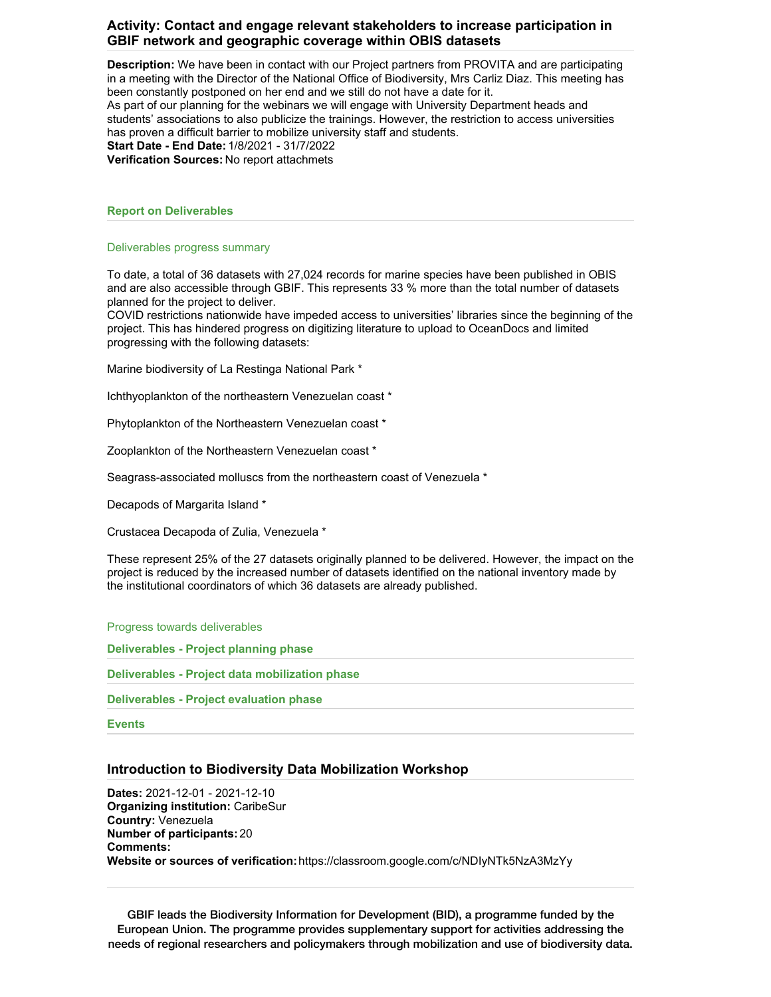# **Activity: Contact and engage relevant stakeholders to increase participation in GBIF network and geographic coverage within OBIS datasets**

**Description:** We have been in contact with our Project partners from PROVITA and are participating in a meeting with the Director of the National Office of Biodiversity, Mrs Carliz Diaz. This meeting has been constantly postponed on her end and we still do not have a date for it. As part of our planning for the webinars we will engage with University Department heads and students' associations to also publicize the trainings. However, the restriction to access universities has proven a difficult barrier to mobilize university staff and students. **Start Date - End Date:** 1/8/2021 - 31/7/2022 **Verification Sources:** No report attachmets

#### **Report on Deliverables**

#### Deliverables progress summary

To date, a total of 36 datasets with 27,024 records for marine species have been published in OBIS and are also accessible through GBIF. This represents 33 % more than the total number of datasets planned for the project to deliver.

COVID restrictions nationwide have impeded access to universities' libraries since the beginning of the project. This has hindered progress on digitizing literature to upload to OceanDocs and limited progressing with the following datasets:

Marine biodiversity of La Restinga National Park \*

Ichthyoplankton of the northeastern Venezuelan coast \*

Phytoplankton of the Northeastern Venezuelan coast \*

Zooplankton of the Northeastern Venezuelan coast \*

Seagrass-associated molluscs from the northeastern coast of Venezuela \*

Decapods of Margarita Island \*

Crustacea Decapoda of Zulia, Venezuela \*

These represent 25% of the 27 datasets originally planned to be delivered. However, the impact on the project is reduced by the increased number of datasets identified on the national inventory made by the institutional coordinators of which 36 datasets are already published.

#### Progress towards deliverables

**Deliverables - Project planning phase**

**Deliverables - Project data mobilization phase**

**Deliverables - Project evaluation phase**

**Events**

#### **Introduction to Biodiversity Data Mobilization Workshop**

**Dates:** 2021-12-01 - 2021-12-10 **Organizing institution:** CaribeSur **Country:** Venezuela **Number of participants:** 20 **Comments: Website or sources of verification:**https://classroom.google.com/c/NDIyNTk5NzA3MzYy

GBIF leads the Biodiversity Information for Development (BID), a programme funded by the European Union. The programme provides supplementary support for activities addressing the needs of regional researchers and policymakers through mobilization and use of biodiversity data.